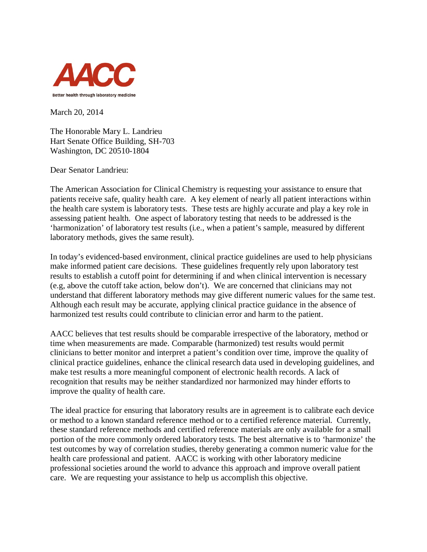

March 20, 2014

The Honorable Mary L. Landrieu Hart Senate Office Building, SH-703 Washington, DC 20510-1804

Dear Senator Landrieu:

The American Association for Clinical Chemistry is requesting your assistance to ensure that patients receive safe, quality health care. A key element of nearly all patient interactions within the health care system is laboratory tests. These tests are highly accurate and play a key role in assessing patient health. One aspect of laboratory testing that needs to be addressed is the 'harmonization' of laboratory test results (i.e., when a patient's sample, measured by different laboratory methods, gives the same result).

In today's evidenced-based environment, clinical practice guidelines are used to help physicians make informed patient care decisions. These guidelines frequently rely upon laboratory test results to establish a cutoff point for determining if and when clinical intervention is necessary (e.g, above the cutoff take action, below don't). We are concerned that clinicians may not understand that different laboratory methods may give different numeric values for the same test. Although each result may be accurate, applying clinical practice guidance in the absence of harmonized test results could contribute to clinician error and harm to the patient.

AACC believes that test results should be comparable irrespective of the laboratory, method or time when measurements are made. Comparable (harmonized) test results would permit clinicians to better monitor and interpret a patient's condition over time, improve the quality of clinical practice guidelines, enhance the clinical research data used in developing guidelines, and make test results a more meaningful component of electronic health records. A lack of recognition that results may be neither standardized nor harmonized may hinder efforts to improve the quality of health care.

The ideal practice for ensuring that laboratory results are in agreement is to calibrate each device or method to a known standard reference method or to a certified reference material. Currently, these standard reference methods and certified reference materials are only available for a small portion of the more commonly ordered laboratory tests. The best alternative is to 'harmonize' the test outcomes by way of correlation studies, thereby generating a common numeric value for the health care professional and patient. AACC is working with other laboratory medicine professional societies around the world to advance this approach and improve overall patient care. We are requesting your assistance to help us accomplish this objective.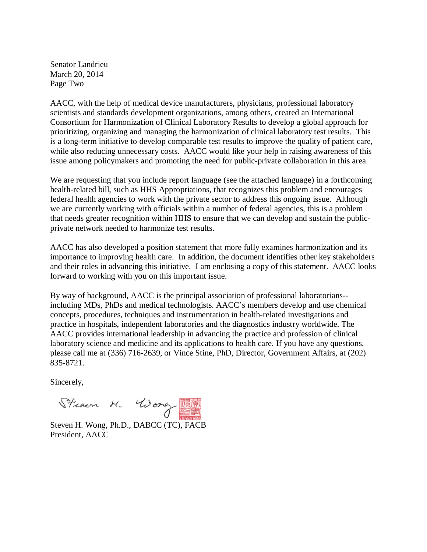Senator Landrieu March 20, 2014 Page Two

AACC, with the help of medical device manufacturers, physicians, professional laboratory scientists and standards development organizations, among others, created an International Consortium for Harmonization of Clinical Laboratory Results to develop a global approach for prioritizing, organizing and managing the harmonization of clinical laboratory test results. This is a long-term initiative to develop comparable test results to improve the quality of patient care, while also reducing unnecessary costs. AACC would like your help in raising awareness of this issue among policymakers and promoting the need for public-private collaboration in this area.

We are requesting that you include report language (see the attached language) in a forthcoming health-related bill, such as HHS Appropriations, that recognizes this problem and encourages federal health agencies to work with the private sector to address this ongoing issue. Although we are currently working with officials within a number of federal agencies, this is a problem that needs greater recognition within HHS to ensure that we can develop and sustain the publicprivate network needed to harmonize test results.

AACC has also developed a position statement that more fully examines harmonization and its importance to improving health care. In addition, the document identifies other key stakeholders and their roles in advancing this initiative. I am enclosing a copy of this statement. AACC looks forward to working with you on this important issue.

By way of background, AACC is the principal association of professional laboratorians- including MDs, PhDs and medical technologists. AACC's members develop and use chemical concepts, procedures, techniques and instrumentation in health-related investigations and practice in hospitals, independent laboratories and the diagnostics industry worldwide. The AACC provides international leadership in advancing the practice and profession of clinical laboratory science and medicine and its applications to health care. If you have any questions, please call me at (336) 716-2639, or Vince Stine, PhD, Director, Government Affairs, at (202) 835-8721.

Sincerely,

Steven M. Woney Rd

Steven H. Wong, Ph.D., DABCC (TC), FACB President, AACC